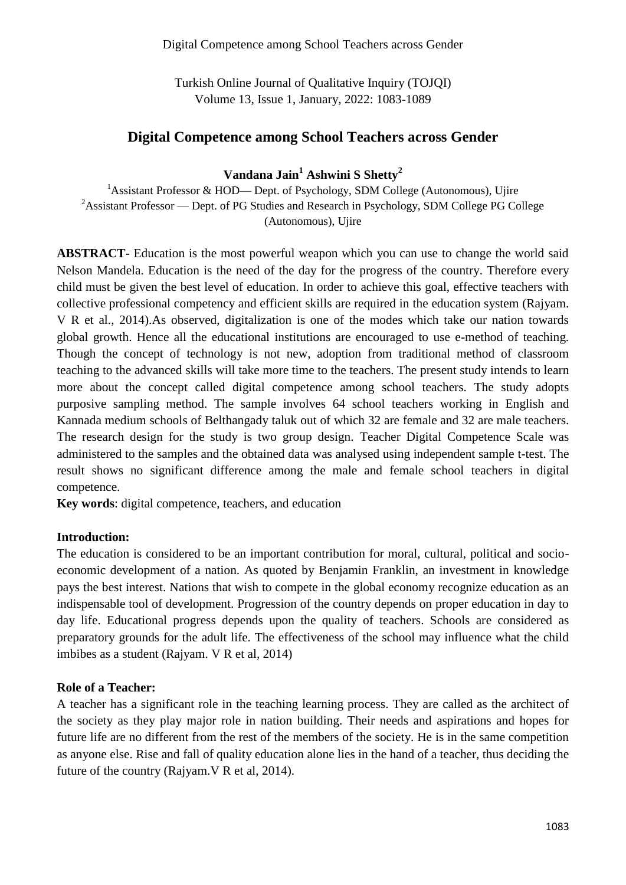Turkish Online Journal of Qualitative Inquiry (TOJQI) Volume 13, Issue 1, January, 2022: 1083-1089

## **Digital Competence among School Teachers across Gender**

# **Vandana Jain<sup>1</sup> Ashwini S Shetty<sup>2</sup>**

<sup>1</sup>Assistant Professor & HOD— Dept. of Psychology, SDM College (Autonomous), Ujire <sup>2</sup>Assistant Professor — Dept. of PG Studies and Research in Psychology, SDM College PG College (Autonomous), Ujire

**ABSTRACT**- Education is the most powerful weapon which you can use to change the world said Nelson Mandela. Education is the need of the day for the progress of the country. Therefore every child must be given the best level of education. In order to achieve this goal, effective teachers with collective professional competency and efficient skills are required in the education system (Rajyam. V R et al., 2014).As observed, digitalization is one of the modes which take our nation towards global growth. Hence all the educational institutions are encouraged to use e-method of teaching. Though the concept of technology is not new, adoption from traditional method of classroom teaching to the advanced skills will take more time to the teachers. The present study intends to learn more about the concept called digital competence among school teachers. The study adopts purposive sampling method. The sample involves 64 school teachers working in English and Kannada medium schools of Belthangady taluk out of which 32 are female and 32 are male teachers. The research design for the study is two group design. Teacher Digital Competence Scale was administered to the samples and the obtained data was analysed using independent sample t-test. The result shows no significant difference among the male and female school teachers in digital competence.

**Key words**: digital competence, teachers, and education

#### **Introduction:**

The education is considered to be an important contribution for moral, cultural, political and socioeconomic development of a nation. As quoted by Benjamin Franklin, an investment in knowledge pays the best interest. Nations that wish to compete in the global economy recognize education as an indispensable tool of development. Progression of the country depends on proper education in day to day life. Educational progress depends upon the quality of teachers. Schools are considered as preparatory grounds for the adult life. The effectiveness of the school may influence what the child imbibes as a student (Rajyam. V R et al, 2014)

## **Role of a Teacher:**

A teacher has a significant role in the teaching learning process. They are called as the architect of the society as they play major role in nation building. Their needs and aspirations and hopes for future life are no different from the rest of the members of the society. He is in the same competition as anyone else. Rise and fall of quality education alone lies in the hand of a teacher, thus deciding the future of the country (Rajyam.V R et al, 2014).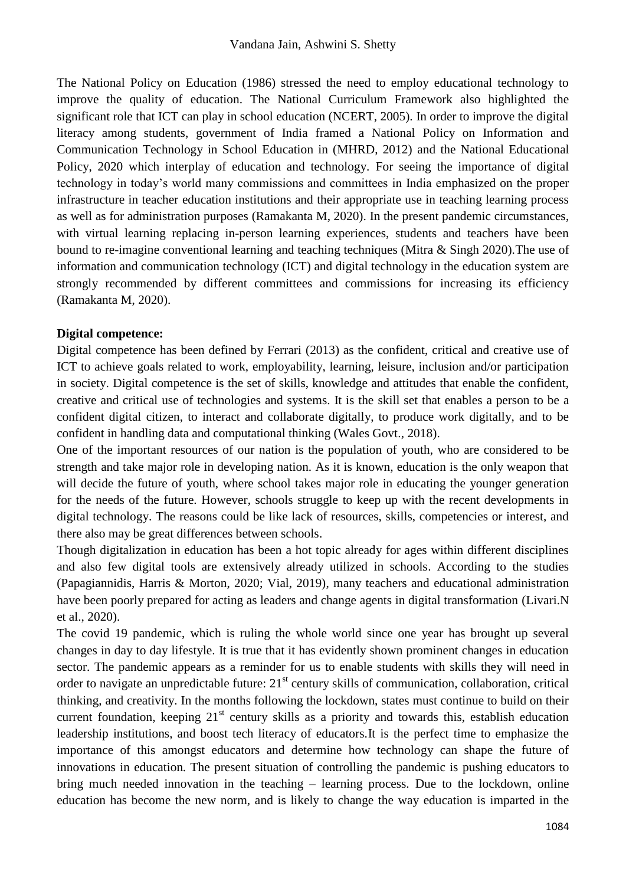The National Policy on Education (1986) stressed the need to employ educational technology to improve the quality of education. The National Curriculum Framework also highlighted the significant role that ICT can play in school education (NCERT, 2005). In order to improve the digital literacy among students, government of India framed a National Policy on Information and Communication Technology in School Education in (MHRD, 2012) and the National Educational Policy, 2020 which interplay of education and technology. For seeing the importance of digital technology in today's world many commissions and committees in India emphasized on the proper infrastructure in teacher education institutions and their appropriate use in teaching learning process as well as for administration purposes (Ramakanta M, 2020). In the present pandemic circumstances, with virtual learning replacing in-person learning experiences, students and teachers have been bound to re-imagine conventional learning and teaching techniques (Mitra & Singh 2020).The use of information and communication technology (ICT) and digital technology in the education system are strongly recommended by different committees and commissions for increasing its efficiency (Ramakanta M, 2020).

## **Digital competence:**

Digital competence has been defined by Ferrari (2013) as the confident, critical and creative use of ICT to achieve goals related to work, employability, learning, leisure, inclusion and/or participation in society. Digital competence is the set of skills, knowledge and attitudes that enable the confident, creative and critical use of technologies and systems. It is the skill set that enables a person to be a confident digital citizen, to interact and collaborate digitally, to produce work digitally, and to be confident in handling data and computational thinking (Wales Govt., 2018).

One of the important resources of our nation is the population of youth, who are considered to be strength and take major role in developing nation. As it is known, education is the only weapon that will decide the future of youth, where school takes major role in educating the younger generation for the needs of the future. However, schools struggle to keep up with the recent developments in digital technology. The reasons could be like lack of resources, skills, competencies or interest, and there also may be great differences between schools.

Though digitalization in education has been a hot topic already for ages within different disciplines and also few digital tools are extensively already utilized in schools. According to the studies (Papagiannidis, Harris & Morton, 2020; Vial, 2019), many teachers and educational administration have been poorly prepared for acting as leaders and change agents in digital transformation (Livari.N et al., 2020).

The covid 19 pandemic, which is ruling the whole world since one year has brought up several changes in day to day lifestyle. It is true that it has evidently shown prominent changes in education sector. The pandemic appears as a reminder for us to enable students with skills they will need in order to navigate an unpredictable future: 21<sup>st</sup> century skills of communication, collaboration, critical thinking, and creativity. In the months following the lockdown, states must continue to build on their current foundation, keeping  $21<sup>st</sup>$  century skills as a priority and towards this, establish education leadership institutions, and boost tech literacy of educators.It is the perfect time to emphasize the importance of this amongst educators and determine how technology can shape the future of innovations in education. The present situation of controlling the pandemic is pushing educators to bring much needed innovation in the teaching – learning process. Due to the lockdown, online education has become the new norm, and is likely to change the way education is imparted in the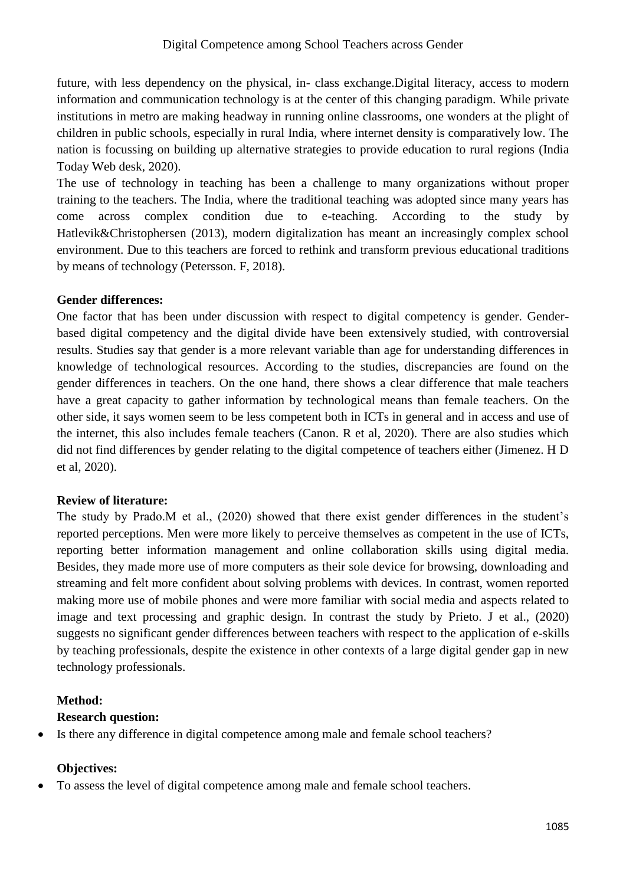future, with less dependency on the physical, in- class exchange.Digital literacy, access to modern information and communication technology is at the center of this changing paradigm. While private institutions in metro are making headway in running online classrooms, one wonders at the plight of children in public schools, especially in rural India, where internet density is comparatively low. The nation is focussing on building up alternative strategies to provide education to rural regions (India Today Web desk, 2020).

The use of technology in teaching has been a challenge to many organizations without proper training to the teachers. The India, where the traditional teaching was adopted since many years has come across complex condition due to e-teaching. According to the study by Hatlevik&Christophersen (2013), modern digitalization has meant an increasingly complex school environment. Due to this teachers are forced to rethink and transform previous educational traditions by means of technology (Petersson. F, 2018).

## **Gender differences:**

One factor that has been under discussion with respect to digital competency is gender. Genderbased digital competency and the digital divide have been extensively studied, with controversial results. Studies say that gender is a more relevant variable than age for understanding differences in knowledge of technological resources. According to the studies, discrepancies are found on the gender differences in teachers. On the one hand, there shows a clear difference that male teachers have a great capacity to gather information by technological means than female teachers. On the other side, it says women seem to be less competent both in ICTs in general and in access and use of the internet, this also includes female teachers (Canon. R et al, 2020). There are also studies which did not find differences by gender relating to the digital competence of teachers either (Jimenez. H D et al, 2020).

## **Review of literature:**

The study by Prado.M et al., (2020) showed that there exist gender differences in the student's reported perceptions. Men were more likely to perceive themselves as competent in the use of ICTs, reporting better information management and online collaboration skills using digital media. Besides, they made more use of more computers as their sole device for browsing, downloading and streaming and felt more confident about solving problems with devices. In contrast, women reported making more use of mobile phones and were more familiar with social media and aspects related to image and text processing and graphic design. In contrast the study by Prieto. J et al., (2020) suggests no significant gender differences between teachers with respect to the application of e-skills by teaching professionals, despite the existence in other contexts of a large digital gender gap in new technology professionals.

# **Method:**

## **Research question:**

Is there any difference in digital competence among male and female school teachers?

## **Objectives:**

To assess the level of digital competence among male and female school teachers.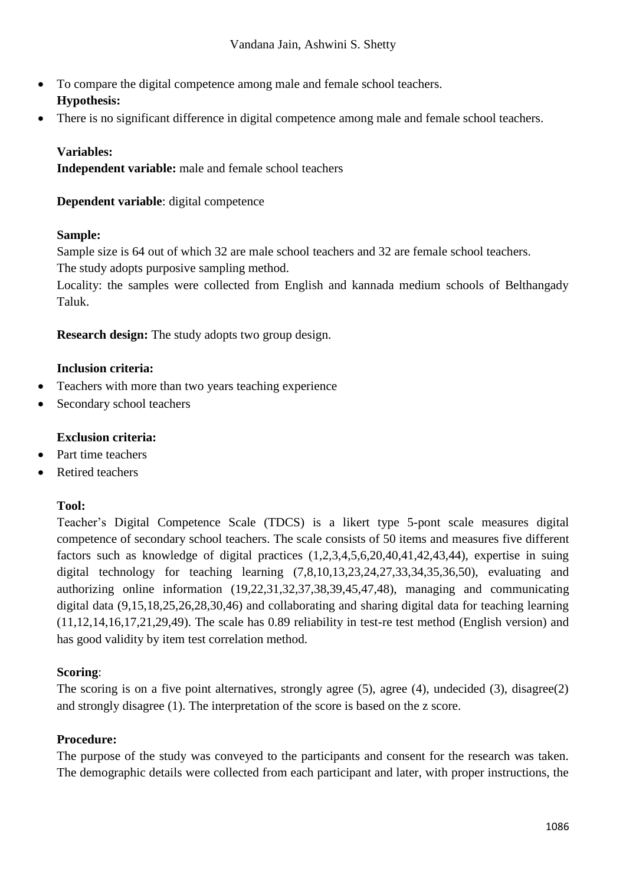- To compare the digital competence among male and female school teachers. **Hypothesis:**
- There is no significant difference in digital competence among male and female school teachers.

## **Variables:**

**Independent variable:** male and female school teachers

**Dependent variable**: digital competence

## **Sample:**

Sample size is 64 out of which 32 are male school teachers and 32 are female school teachers. The study adopts purposive sampling method.

Locality: the samples were collected from English and kannada medium schools of Belthangady Taluk.

**Research design:** The study adopts two group design.

## **Inclusion criteria:**

- Teachers with more than two years teaching experience
- Secondary school teachers

## **Exclusion criteria:**

- Part time teachers
- Retired teachers

## **Tool:**

Teacher's Digital Competence Scale (TDCS) is a likert type 5-pont scale measures digital competence of secondary school teachers. The scale consists of 50 items and measures five different factors such as knowledge of digital practices (1,2,3,4,5,6,20,40,41,42,43,44), expertise in suing digital technology for teaching learning (7,8,10,13,23,24,27,33,34,35,36,50), evaluating and authorizing online information (19,22,31,32,37,38,39,45,47,48), managing and communicating digital data (9,15,18,25,26,28,30,46) and collaborating and sharing digital data for teaching learning (11,12,14,16,17,21,29,49). The scale has 0.89 reliability in test-re test method (English version) and has good validity by item test correlation method.

## **Scoring**:

The scoring is on a five point alternatives, strongly agree (5), agree (4), undecided (3), disagree(2) and strongly disagree (1). The interpretation of the score is based on the z score.

## **Procedure:**

The purpose of the study was conveyed to the participants and consent for the research was taken. The demographic details were collected from each participant and later, with proper instructions, the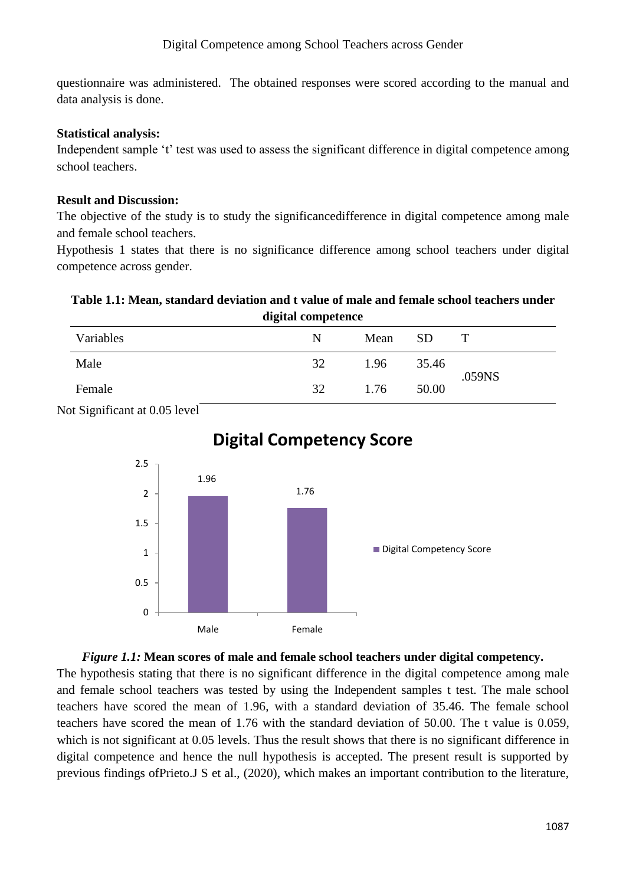questionnaire was administered. The obtained responses were scored according to the manual and data analysis is done.

#### **Statistical analysis:**

Independent sample 't' test was used to assess the significant difference in digital competence among school teachers.

#### **Result and Discussion:**

The objective of the study is to study the significancedifference in digital competence among male and female school teachers.

Hypothesis 1 states that there is no significance difference among school teachers under digital competence across gender.

#### **Table 1.1: Mean, standard deviation and t value of male and female school teachers under digital competence**

| uigitai competence |    |      |           |        |
|--------------------|----|------|-----------|--------|
| Variables          | N  | Mean | <b>SD</b> |        |
| Male               | 32 | 1.96 | 35.46     | .059NS |
| Female             | 32 | 1.76 | 50.00     |        |

Not Significant at 0.05 level



# **Digital Competency Score**

#### *Figure 1.1:* **Mean scores of male and female school teachers under digital competency.**

The hypothesis stating that there is no significant difference in the digital competence among male and female school teachers was tested by using the Independent samples t test. The male school teachers have scored the mean of 1.96, with a standard deviation of 35.46. The female school teachers have scored the mean of 1.76 with the standard deviation of 50.00. The t value is 0.059, which is not significant at 0.05 levels. Thus the result shows that there is no significant difference in digital competence and hence the null hypothesis is accepted. The present result is supported by previous findings ofPrieto.J S et al., (2020), which makes an important contribution to the literature,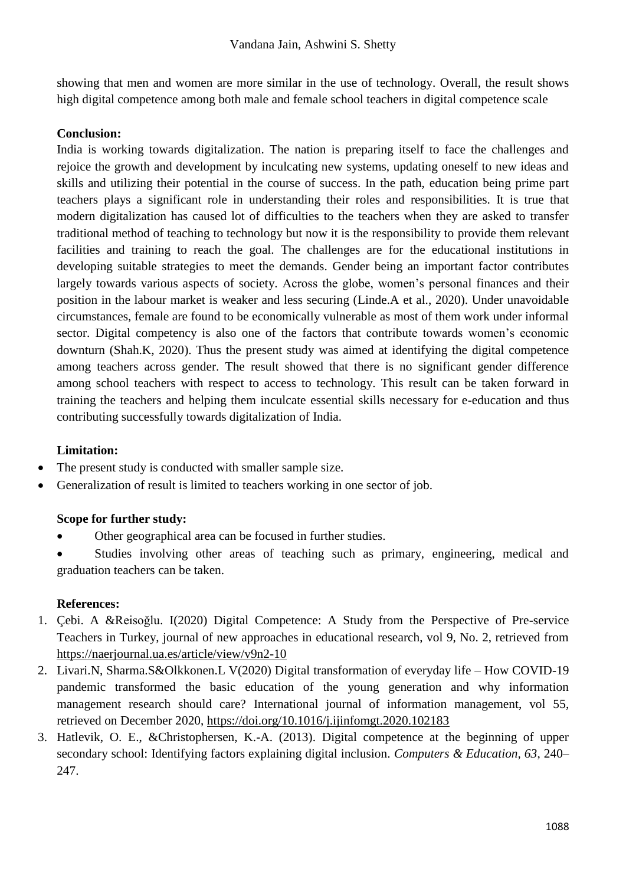showing that men and women are more similar in the use of technology. Overall, the result shows high digital competence among both male and female school teachers in digital competence scale

## **Conclusion:**

India is working towards digitalization. The nation is preparing itself to face the challenges and rejoice the growth and development by inculcating new systems, updating oneself to new ideas and skills and utilizing their potential in the course of success. In the path, education being prime part teachers plays a significant role in understanding their roles and responsibilities. It is true that modern digitalization has caused lot of difficulties to the teachers when they are asked to transfer traditional method of teaching to technology but now it is the responsibility to provide them relevant facilities and training to reach the goal. The challenges are for the educational institutions in developing suitable strategies to meet the demands. Gender being an important factor contributes largely towards various aspects of society. Across the globe, women's personal finances and their position in the labour market is weaker and less securing (Linde.A et al., 2020). Under unavoidable circumstances, female are found to be economically vulnerable as most of them work under informal sector. Digital competency is also one of the factors that contribute towards women's economic downturn (Shah.K, 2020). Thus the present study was aimed at identifying the digital competence among teachers across gender. The result showed that there is no significant gender difference among school teachers with respect to access to technology. This result can be taken forward in training the teachers and helping them inculcate essential skills necessary for e-education and thus contributing successfully towards digitalization of India.

# **Limitation:**

- The present study is conducted with smaller sample size.
- Generalization of result is limited to teachers working in one sector of job.

# **Scope for further study:**

- Other geographical area can be focused in further studies.
- Studies involving other areas of teaching such as primary, engineering, medical and graduation teachers can be taken.

# **References:**

- 1. Çebi. A &Reisoğlu. I(2020) Digital Competence: A Study from the Perspective of Pre-service Teachers in Turkey, journal of new approaches in educational research, vol 9, No. 2, retrieved from <https://naerjournal.ua.es/article/view/v9n2-10>
- 2. Livari.N, Sharma.S&Olkkonen.L V(2020) Digital transformation of everyday life How COVID-19 pandemic transformed the basic education of the young generation and why information management research should care? International journal of information management, vol 55, retrieved on December 2020,<https://doi.org/10.1016/j.ijinfomgt.2020.102183>
- 3. Hatlevik, O. E., &Christophersen, K.-A. (2013). Digital competence at the beginning of upper secondary school: Identifying factors explaining digital inclusion. *Computers & Education, 63*, 240– 247.